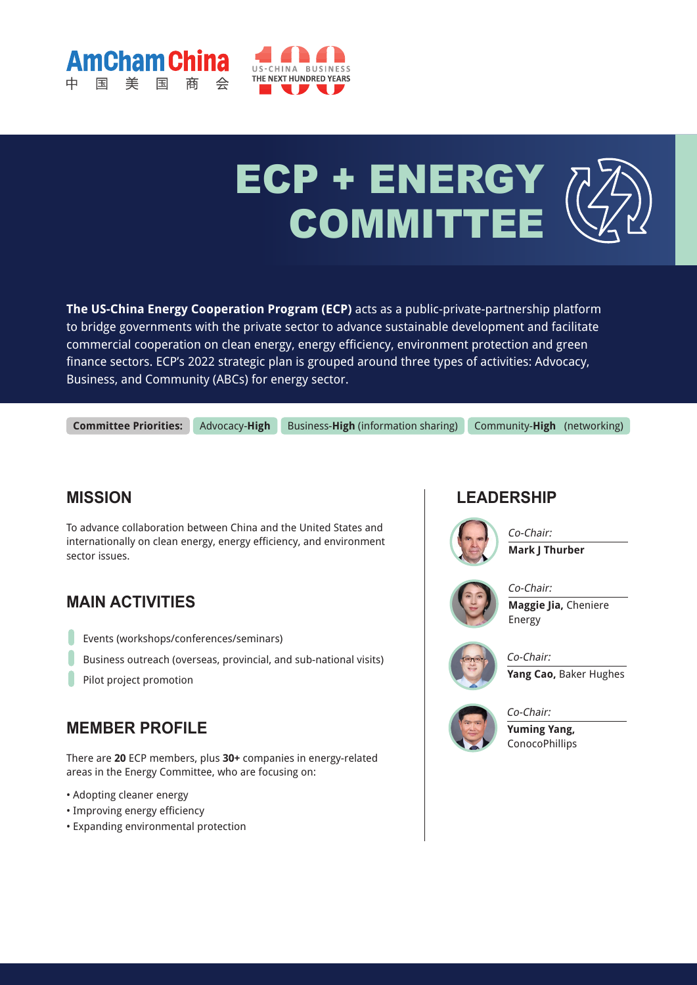



# ECP + ENERGY COMMITTEE

**The US-China Energy Cooperation Program (ECP)** acts as a public-private-partnership platform to bridge governments with the private sector to advance sustainable development and facilitate commercial cooperation on clean energy, energy efficiency, environment protection and green finance sectors. ECP's 2022 strategic plan is grouped around three types of activities: Advocacy, Business, and Community (ABCs) for energy sector.

**Committee Priorities:** Advocacy-**High** Business-**High** (information sharing) Community-**High** (networking)

## **MISSION**

To advance collaboration between China and the United States and internationally on clean energy, energy efficiency, and environment sector issues.

## **MAIN ACTIVITIES**

- Events (workshops/conferences/seminars)
- Business outreach (overseas, provincial, and sub-national visits)
- Pilot project promotion

## **MEMBER PROFILE**

There are **20** ECP members, plus **30+** companies in energy-related areas in the Energy Committee, who are focusing on:

- Adopting cleaner energy
- Improving energy efficiency
- Expanding environmental protection

#### **LEADERSHIP**



Co-Chair: **Mark J Thurber** 

Co-Chair:



**Maggie Jia,** Cheniere Energy



Co-Chair: **Yang Cao,** Baker Hughes



**Yuming Yang,**  ConocoPhillips

Co-Chair: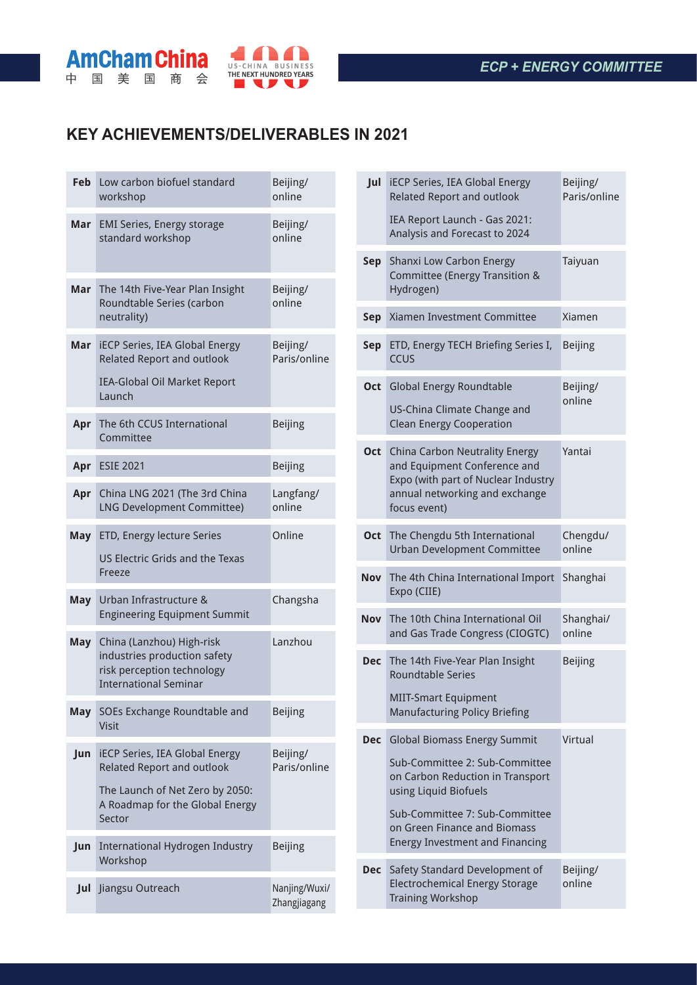

# **KEY ACHIEVEMENTS/DELIVERABLES IN 2021**

**Amchamchina** US-CHINA BUSINESS

| Feb        | Low carbon biofuel standard<br>workshop                                                                                 | Beijing/<br>online            |
|------------|-------------------------------------------------------------------------------------------------------------------------|-------------------------------|
| Mar        | <b>EMI Series, Energy storage</b><br>standard workshop                                                                  | Beijing/<br>online            |
| Mar        | The 14th Five-Year Plan Insight<br>Roundtable Series (carbon<br>neutrality)                                             | Beijing/<br>online            |
| Mar        | <b>iECP Series, IEA Global Energy</b><br><b>Related Report and outlook</b><br>IEA-Global Oil Market Report<br>Launch    | Beijing/<br>Paris/online      |
| Apr        | The 6th CCUS International<br>Committee                                                                                 | Beijing                       |
| Apr        | <b>ESIE 2021</b>                                                                                                        | Beijing                       |
| Apr        | China LNG 2021 (The 3rd China<br><b>LNG Development Committee)</b>                                                      | Langfang/<br>online           |
| May        | ETD, Energy lecture Series<br><b>US Electric Grids and the Texas</b><br>Freeze                                          | Online                        |
| <b>May</b> | Urban Infrastructure &<br><b>Engineering Equipment Summit</b>                                                           | Changsha                      |
| <b>May</b> | China (Lanzhou) High-risk<br>industries production safety<br>risk perception technology<br><b>International Seminar</b> | Lanzhou                       |
| <b>May</b> | SOEs Exchange Roundtable and<br>Visit                                                                                   | Beijing                       |
| Jun        | <b>iECP Series, IEA Global Energy</b><br><b>Related Report and outlook</b>                                              | Beijing/<br>Paris/online      |
|            | The Launch of Net Zero by 2050:<br>A Roadmap for the Global Energy<br>Sector                                            |                               |
| Jun        | <b>International Hydrogen Industry</b><br>Workshop                                                                      | <b>Beijing</b>                |
| Jul        | Jiangsu Outreach                                                                                                        | Nanjing/Wuxi/<br>Zhangjiagang |

| Jul        | <b>iECP Series, IEA Global Energy</b><br><b>Related Report and outlook</b>                                                                                                                                                                     | Beijing/<br>Paris/online |
|------------|------------------------------------------------------------------------------------------------------------------------------------------------------------------------------------------------------------------------------------------------|--------------------------|
|            | IEA Report Launch - Gas 2021:<br>Analysis and Forecast to 2024                                                                                                                                                                                 |                          |
| Sep        | Shanxi Low Carbon Energy<br><b>Committee (Energy Transition &amp;</b><br>Hydrogen)                                                                                                                                                             | Taiyuan                  |
| Sep        | Xiamen Investment Committee                                                                                                                                                                                                                    | Xiamen                   |
| Sep        | ETD, Energy TECH Briefing Series I,<br><b>CCUS</b>                                                                                                                                                                                             | <b>Beijing</b>           |
| <b>Oct</b> | <b>Global Energy Roundtable</b><br>US-China Climate Change and<br><b>Clean Energy Cooperation</b>                                                                                                                                              | Beijing/<br>online       |
| <b>Oct</b> | China Carbon Neutrality Energy<br>and Equipment Conference and<br>Expo (with part of Nuclear Industry<br>annual networking and exchange<br>focus event)                                                                                        | Yantai                   |
| Oct        | The Chengdu 5th International<br><b>Urban Development Committee</b>                                                                                                                                                                            | Chengdu/<br>online       |
| <b>Nov</b> | The 4th China International Import<br>Expo (CIIE)                                                                                                                                                                                              | Shanghai                 |
| <b>Nov</b> | The 10th China International Oil<br>and Gas Trade Congress (CIOGTC)                                                                                                                                                                            | Shanghai/<br>online      |
| <b>Dec</b> | The 14th Five-Year Plan Insight<br><b>Roundtable Series</b><br><b>MIIT-Smart Equipment</b><br><b>Manufacturing Policy Briefing</b>                                                                                                             | Beijing                  |
| <b>Dec</b> | <b>Global Biomass Energy Summit</b><br>Sub-Committee 2: Sub-Committee<br>on Carbon Reduction in Transport<br>using Liquid Biofuels<br>Sub-Committee 7: Sub-Committee<br>on Green Finance and Biomass<br><b>Energy Investment and Financing</b> | Virtual                  |
| <b>Dec</b> | Safety Standard Development of<br><b>Electrochemical Energy Storage</b><br><b>Training Workshop</b>                                                                                                                                            | Beijing/<br>online       |